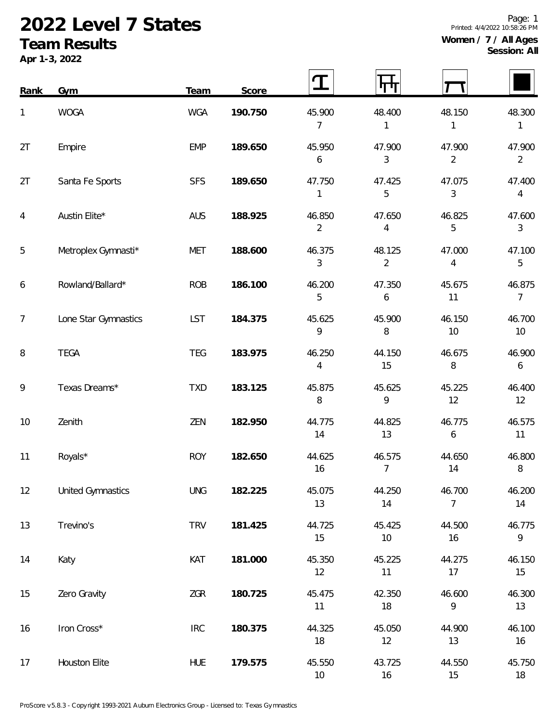## **2022 Level 7 States**

## **Team Results**

**Apr 1-3, 2022**

| Rank           | Gym                      | Team       | Score   |                          |                          |                          |                            |
|----------------|--------------------------|------------|---------|--------------------------|--------------------------|--------------------------|----------------------------|
| 1              | <b>WOGA</b>              | <b>WGA</b> | 190.750 | 45.900<br>$\overline{7}$ | 48.400<br>1              | 48.150<br>$\mathbf{1}$   | 48.300<br>1                |
| 2T             | Empire                   | <b>EMP</b> | 189.650 | 45.950<br>6              | 47.900<br>3              | 47.900<br>$\overline{2}$ | 47.900<br>$\overline{2}$   |
| 2T             | Santa Fe Sports          | <b>SFS</b> | 189.650 | 47.750<br>1              | 47.425<br>5              | 47.075<br>3              | 47.400<br>4                |
| $\overline{4}$ | Austin Elite*            | AUS        | 188.925 | 46.850<br>$\overline{2}$ | 47.650<br>4              | 46.825<br>5              | 47.600<br>$\mathfrak{Z}$   |
| 5              | Metroplex Gymnasti*      | <b>MET</b> | 188.600 | 46.375<br>$\mathfrak{Z}$ | 48.125<br>$\overline{2}$ | 47.000<br>4              | 47.100<br>5                |
| 6              | Rowland/Ballard*         | <b>ROB</b> | 186.100 | 46.200<br>5              | 47.350<br>6              | 45.675<br>11             | 46.875<br>$\overline{7}$   |
| $\overline{7}$ | Lone Star Gymnastics     | LST        | 184.375 | 45.625<br>9              | 45.900<br>8              | 46.150<br>10             | 46.700<br>$10$             |
| 8              | <b>TEGA</b>              | <b>TEG</b> | 183.975 | 46.250<br>4              | 44.150<br>15             | 46.675<br>8              | 46.900<br>$\boldsymbol{6}$ |
| 9              | Texas Dreams*            | <b>TXD</b> | 183.125 | 45.875<br>8              | 45.625<br>9              | 45.225<br>12             | 46.400<br>12               |
| 10             | Zenith                   | ZEN        | 182.950 | 44.775<br>14             | 44.825<br>13             | 46.775<br>6              | 46.575<br>11               |
| 11             | Royals*                  | <b>ROY</b> | 182.650 | 44.625<br>16             | 46.575<br>7              | 44.650<br>14             | 46.800<br>8                |
| 12             | <b>United Gymnastics</b> | <b>UNG</b> | 182.225 | 45.075<br>13             | 44.250<br>14             | 46.700<br>$\overline{7}$ | 46.200<br>14               |
| 13             | Trevino's                | <b>TRV</b> | 181.425 | 44.725<br>15             | 45.425<br>10             | 44.500<br>16             | 46.775<br>9                |
| 14             | Katy                     | KAT        | 181.000 | 45.350<br>12             | 45.225<br>11             | 44.275<br>17             | 46.150<br>15               |
| 15             | Zero Gravity             | ZGR        | 180.725 | 45.475<br>11             | 42.350<br>18             | 46.600<br>9              | 46.300<br>13               |
| 16             | Iron Cross*              | IRC        | 180.375 | 44.325<br>18             | 45.050<br>12             | 44.900<br>13             | 46.100<br>16               |
| 17             | Houston Elite            | <b>HUE</b> | 179.575 | 45.550<br>10             | 43.725<br>16             | 44.550<br>15             | 45.750<br>18               |